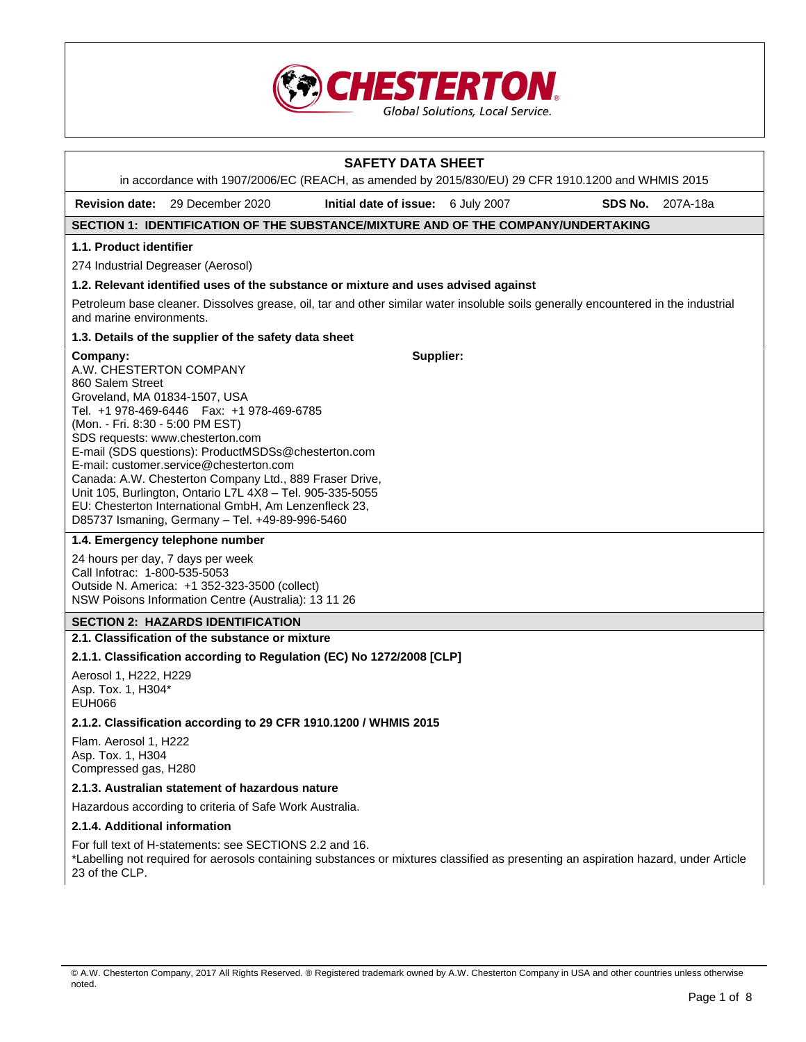

|                                                                                                                              |                                                                                                                                                                                                                                                                                                                                                                                                                        | <b>SAFETY DATA SHEET</b>           |  |         |          |
|------------------------------------------------------------------------------------------------------------------------------|------------------------------------------------------------------------------------------------------------------------------------------------------------------------------------------------------------------------------------------------------------------------------------------------------------------------------------------------------------------------------------------------------------------------|------------------------------------|--|---------|----------|
|                                                                                                                              | in accordance with 1907/2006/EC (REACH, as amended by 2015/830/EU) 29 CFR 1910.1200 and WHMIS 2015                                                                                                                                                                                                                                                                                                                     |                                    |  |         |          |
|                                                                                                                              | <b>Revision date:</b> 29 December 2020                                                                                                                                                                                                                                                                                                                                                                                 | Initial date of issue: 6 July 2007 |  | SDS No. | 207A-18a |
|                                                                                                                              | SECTION 1: IDENTIFICATION OF THE SUBSTANCE/MIXTURE AND OF THE COMPANY/UNDERTAKING                                                                                                                                                                                                                                                                                                                                      |                                    |  |         |          |
| 1.1. Product identifier                                                                                                      |                                                                                                                                                                                                                                                                                                                                                                                                                        |                                    |  |         |          |
| 274 Industrial Degreaser (Aerosol)                                                                                           |                                                                                                                                                                                                                                                                                                                                                                                                                        |                                    |  |         |          |
|                                                                                                                              | 1.2. Relevant identified uses of the substance or mixture and uses advised against                                                                                                                                                                                                                                                                                                                                     |                                    |  |         |          |
| and marine environments.                                                                                                     | Petroleum base cleaner. Dissolves grease, oil, tar and other similar water insoluble soils generally encountered in the industrial                                                                                                                                                                                                                                                                                     |                                    |  |         |          |
|                                                                                                                              | 1.3. Details of the supplier of the safety data sheet                                                                                                                                                                                                                                                                                                                                                                  |                                    |  |         |          |
| Company:<br>A.W. CHESTERTON COMPANY<br>860 Salem Street<br>Groveland, MA 01834-1507, USA<br>(Mon. - Fri. 8:30 - 5:00 PM EST) | Tel. +1 978-469-6446    Fax: +1 978-469-6785<br>SDS requests: www.chesterton.com<br>E-mail (SDS questions): ProductMSDSs@chesterton.com<br>E-mail: customer.service@chesterton.com<br>Canada: A.W. Chesterton Company Ltd., 889 Fraser Drive,<br>Unit 105, Burlington, Ontario L7L 4X8 - Tel. 905-335-5055<br>EU: Chesterton International GmbH, Am Lenzenfleck 23,<br>D85737 Ismaning, Germany - Tel. +49-89-996-5460 | Supplier:                          |  |         |          |
|                                                                                                                              | 1.4. Emergency telephone number                                                                                                                                                                                                                                                                                                                                                                                        |                                    |  |         |          |
| 24 hours per day, 7 days per week<br>Call Infotrac: 1-800-535-5053                                                           | Outside N. America: +1 352-323-3500 (collect)<br>NSW Poisons Information Centre (Australia): 13 11 26                                                                                                                                                                                                                                                                                                                  |                                    |  |         |          |
|                                                                                                                              | <b>SECTION 2: HAZARDS IDENTIFICATION</b>                                                                                                                                                                                                                                                                                                                                                                               |                                    |  |         |          |
|                                                                                                                              | 2.1. Classification of the substance or mixture                                                                                                                                                                                                                                                                                                                                                                        |                                    |  |         |          |
|                                                                                                                              | 2.1.1. Classification according to Regulation (EC) No 1272/2008 [CLP]                                                                                                                                                                                                                                                                                                                                                  |                                    |  |         |          |
| Aerosol 1, H222, H229<br>Asp. Tox. 1, H304*<br><b>EUH066</b>                                                                 |                                                                                                                                                                                                                                                                                                                                                                                                                        |                                    |  |         |          |
|                                                                                                                              | 2.1.2. Classification according to 29 CFR 1910.1200 / WHMIS 2015                                                                                                                                                                                                                                                                                                                                                       |                                    |  |         |          |
| Flam. Aerosol 1, H222<br>Asp. Tox. 1, H304<br>Compressed gas, H280                                                           |                                                                                                                                                                                                                                                                                                                                                                                                                        |                                    |  |         |          |
| 2.1.3. Australian statement of hazardous nature                                                                              |                                                                                                                                                                                                                                                                                                                                                                                                                        |                                    |  |         |          |
|                                                                                                                              | Hazardous according to criteria of Safe Work Australia.                                                                                                                                                                                                                                                                                                                                                                |                                    |  |         |          |
| 2.1.4. Additional information                                                                                                |                                                                                                                                                                                                                                                                                                                                                                                                                        |                                    |  |         |          |
| 23 of the CLP.                                                                                                               | For full text of H-statements: see SECTIONS 2.2 and 16.<br>*Labelling not required for aerosols containing substances or mixtures classified as presenting an aspiration hazard, under Article                                                                                                                                                                                                                         |                                    |  |         |          |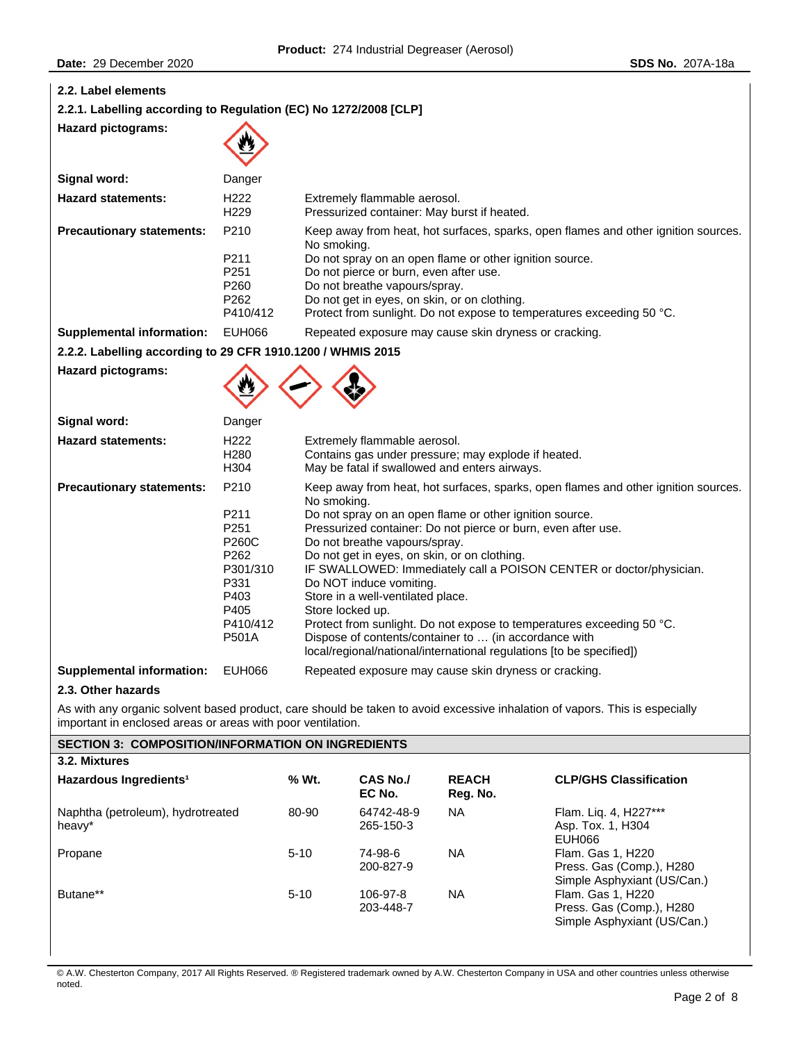| 2.2. Label elements                                                                                                                                                                        |                                                                                                       |                                                                                                                                                                                                                                                                                                                                                                                                                                                                                                                                                                                                                                                                                     |                              |                                                                                                      |                                                                              |
|--------------------------------------------------------------------------------------------------------------------------------------------------------------------------------------------|-------------------------------------------------------------------------------------------------------|-------------------------------------------------------------------------------------------------------------------------------------------------------------------------------------------------------------------------------------------------------------------------------------------------------------------------------------------------------------------------------------------------------------------------------------------------------------------------------------------------------------------------------------------------------------------------------------------------------------------------------------------------------------------------------------|------------------------------|------------------------------------------------------------------------------------------------------|------------------------------------------------------------------------------|
| 2.2.1. Labelling according to Regulation (EC) No 1272/2008 [CLP]                                                                                                                           |                                                                                                       |                                                                                                                                                                                                                                                                                                                                                                                                                                                                                                                                                                                                                                                                                     |                              |                                                                                                      |                                                                              |
| <b>Hazard pictograms:</b>                                                                                                                                                                  |                                                                                                       |                                                                                                                                                                                                                                                                                                                                                                                                                                                                                                                                                                                                                                                                                     |                              |                                                                                                      |                                                                              |
| Signal word:                                                                                                                                                                               | Danger                                                                                                |                                                                                                                                                                                                                                                                                                                                                                                                                                                                                                                                                                                                                                                                                     |                              |                                                                                                      |                                                                              |
| <b>Hazard statements:</b>                                                                                                                                                                  | H <sub>222</sub><br>H <sub>229</sub>                                                                  |                                                                                                                                                                                                                                                                                                                                                                                                                                                                                                                                                                                                                                                                                     | Extremely flammable aerosol. | Pressurized container: May burst if heated.                                                          |                                                                              |
| <b>Precautionary statements:</b>                                                                                                                                                           | P210<br>P211<br>P251<br>P260<br>P262<br>P410/412                                                      | Keep away from heat, hot surfaces, sparks, open flames and other ignition sources.<br>No smoking.<br>Do not spray on an open flame or other ignition source.<br>Do not pierce or burn, even after use.<br>Do not breathe vapours/spray.<br>Do not get in eyes, on skin, or on clothing.<br>Protect from sunlight. Do not expose to temperatures exceeding 50 °C.                                                                                                                                                                                                                                                                                                                    |                              |                                                                                                      |                                                                              |
| <b>Supplemental information:</b>                                                                                                                                                           | <b>EUH066</b>                                                                                         |                                                                                                                                                                                                                                                                                                                                                                                                                                                                                                                                                                                                                                                                                     |                              | Repeated exposure may cause skin dryness or cracking.                                                |                                                                              |
| 2.2.2. Labelling according to 29 CFR 1910.1200 / WHMIS 2015                                                                                                                                |                                                                                                       |                                                                                                                                                                                                                                                                                                                                                                                                                                                                                                                                                                                                                                                                                     |                              |                                                                                                      |                                                                              |
| <b>Hazard pictograms:</b>                                                                                                                                                                  |                                                                                                       |                                                                                                                                                                                                                                                                                                                                                                                                                                                                                                                                                                                                                                                                                     |                              |                                                                                                      |                                                                              |
| Signal word:                                                                                                                                                                               | Danger                                                                                                |                                                                                                                                                                                                                                                                                                                                                                                                                                                                                                                                                                                                                                                                                     |                              |                                                                                                      |                                                                              |
| <b>Hazard statements:</b>                                                                                                                                                                  | H222<br>H <sub>280</sub><br>H304                                                                      |                                                                                                                                                                                                                                                                                                                                                                                                                                                                                                                                                                                                                                                                                     | Extremely flammable aerosol. | Contains gas under pressure; may explode if heated.<br>May be fatal if swallowed and enters airways. |                                                                              |
| <b>Precautionary statements:</b>                                                                                                                                                           | P210<br>P211<br>P251<br><b>P260C</b><br>P262<br>P301/310<br>P331<br>P403<br>P405<br>P410/412<br>P501A | Keep away from heat, hot surfaces, sparks, open flames and other ignition sources.<br>No smoking.<br>Do not spray on an open flame or other ignition source.<br>Pressurized container: Do not pierce or burn, even after use.<br>Do not breathe vapours/spray.<br>Do not get in eyes, on skin, or on clothing.<br>IF SWALLOWED: Immediately call a POISON CENTER or doctor/physician.<br>Do NOT induce vomiting.<br>Store in a well-ventilated place.<br>Store locked up.<br>Protect from sunlight. Do not expose to temperatures exceeding 50 °C.<br>Dispose of contents/container to  (in accordance with<br>local/regional/national/international regulations [to be specified]) |                              |                                                                                                      |                                                                              |
| <b>Supplemental information:</b>                                                                                                                                                           | <b>EUH066</b>                                                                                         | Repeated exposure may cause skin dryness or cracking.                                                                                                                                                                                                                                                                                                                                                                                                                                                                                                                                                                                                                               |                              |                                                                                                      |                                                                              |
| 2.3. Other hazards                                                                                                                                                                         |                                                                                                       |                                                                                                                                                                                                                                                                                                                                                                                                                                                                                                                                                                                                                                                                                     |                              |                                                                                                      |                                                                              |
| As with any organic solvent based product, care should be taken to avoid excessive inhalation of vapors. This is especially<br>important in enclosed areas or areas with poor ventilation. |                                                                                                       |                                                                                                                                                                                                                                                                                                                                                                                                                                                                                                                                                                                                                                                                                     |                              |                                                                                                      |                                                                              |
| <b>SECTION 3: COMPOSITION/INFORMATION ON INGREDIENTS</b>                                                                                                                                   |                                                                                                       |                                                                                                                                                                                                                                                                                                                                                                                                                                                                                                                                                                                                                                                                                     |                              |                                                                                                      |                                                                              |
| 3.2. Mixtures                                                                                                                                                                              |                                                                                                       |                                                                                                                                                                                                                                                                                                                                                                                                                                                                                                                                                                                                                                                                                     |                              |                                                                                                      |                                                                              |
| Hazardous Ingredients <sup>1</sup>                                                                                                                                                         |                                                                                                       | % Wt.                                                                                                                                                                                                                                                                                                                                                                                                                                                                                                                                                                                                                                                                               | <b>CAS No./</b><br>EC No.    | <b>REACH</b><br>Reg. No.                                                                             | <b>CLP/GHS Classification</b>                                                |
| Naphtha (petroleum), hydrotreated<br>heavy*                                                                                                                                                |                                                                                                       | 80-90                                                                                                                                                                                                                                                                                                                                                                                                                                                                                                                                                                                                                                                                               | 64742-48-9<br>265-150-3      | <b>NA</b>                                                                                            | Flam. Liq. 4, H227***<br>Asp. Tox. 1, H304<br><b>EUH066</b>                  |
| Propane                                                                                                                                                                                    |                                                                                                       | $5 - 10$                                                                                                                                                                                                                                                                                                                                                                                                                                                                                                                                                                                                                                                                            | 74-98-6<br>200-827-9         | <b>NA</b>                                                                                            | Flam. Gas 1, H220<br>Press. Gas (Comp.), H280<br>Simple Asphyxiant (US/Can.) |
| Butane**                                                                                                                                                                                   |                                                                                                       | $5 - 10$                                                                                                                                                                                                                                                                                                                                                                                                                                                                                                                                                                                                                                                                            | 106-97-8<br>203-448-7        | <b>NA</b>                                                                                            | Flam. Gas 1, H220<br>Press. Gas (Comp.), H280<br>Simple Asphyxiant (US/Can.) |

© A.W. Chesterton Company, 2017 All Rights Reserved. ® Registered trademark owned by A.W. Chesterton Company in USA and other countries unless otherwise noted.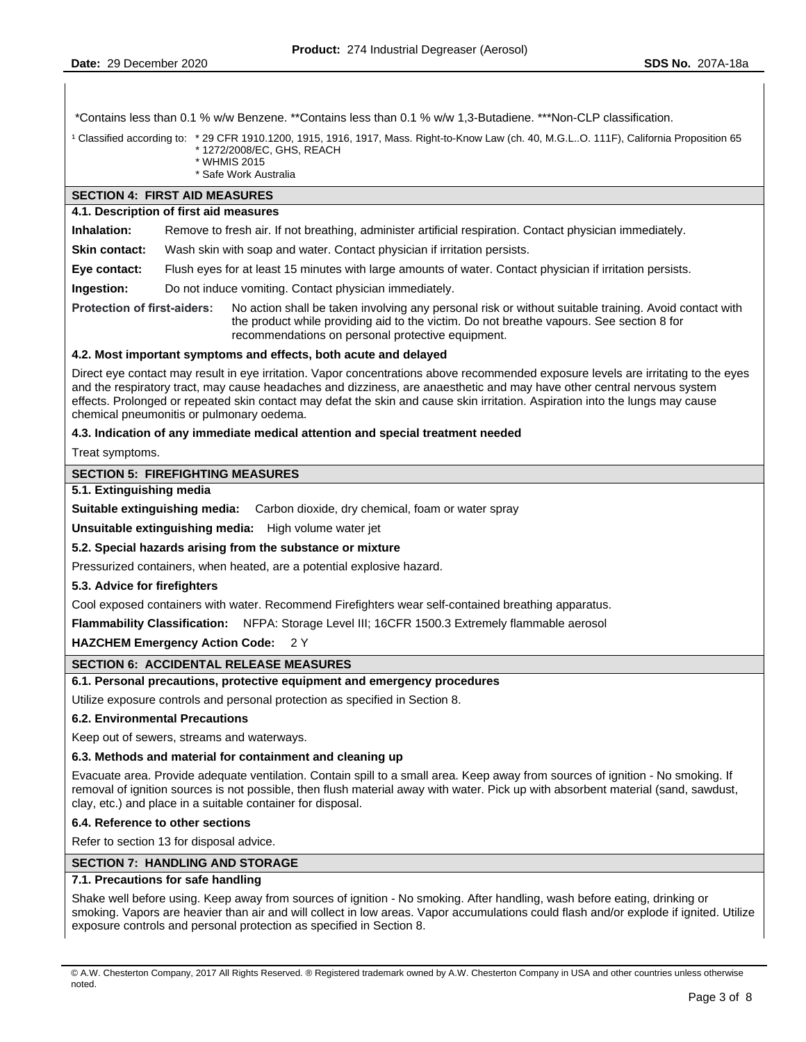\*Contains less than 0.1 % w/w Benzene. \*\*Contains less than 0.1 % w/w 1,3-Butadiene. \*\*\*Non-CLP classification.

<sup>1</sup> Classified according to: \* 29 CFR 1910.1200, 1915, 1916, 1917, Mass. Right-to-Know Law (ch. 40, M.G.L..O. 111F), California Proposition 65 \* 1272/2008/EC, GHS, REACH

- \* WHMIS 2015
- \* Safe Work Australia

# **SECTION 4: FIRST AID MEASURES**

# **4.1. Description of first aid measures**

**Inhalation:** Remove to fresh air. If not breathing, administer artificial respiration. Contact physician immediately.

**Skin contact:** Wash skin with soap and water. Contact physician if irritation persists.

**Eye contact:** Flush eyes for at least 15 minutes with large amounts of water. Contact physician if irritation persists.

**Ingestion:** Do not induce vomiting. Contact physician immediately.

**Protection of first-aiders:** No action shall be taken involving any personal risk or without suitable training. Avoid contact with the product while providing aid to the victim. Do not breathe vapours. See section 8 for recommendations on personal protective equipment.

## **4.2. Most important symptoms and effects, both acute and delayed**

Direct eye contact may result in eye irritation. Vapor concentrations above recommended exposure levels are irritating to the eyes and the respiratory tract, may cause headaches and dizziness, are anaesthetic and may have other central nervous system effects. Prolonged or repeated skin contact may defat the skin and cause skin irritation. Aspiration into the lungs may cause chemical pneumonitis or pulmonary oedema.

## **4.3. Indication of any immediate medical attention and special treatment needed**

Treat symptoms.

## **SECTION 5: FIREFIGHTING MEASURES**

#### **5.1. Extinguishing media**

**Suitable extinguishing media:** Carbon dioxide, dry chemical, foam or water spray

**Unsuitable extinguishing media:** High volume water jet

## **5.2. Special hazards arising from the substance or mixture**

Pressurized containers, when heated, are a potential explosive hazard.

#### **5.3. Advice for firefighters**

Cool exposed containers with water. Recommend Firefighters wear self-contained breathing apparatus.

**Flammability Classification:** NFPA: Storage Level III; 16CFR 1500.3 Extremely flammable aerosol

**HAZCHEM Emergency Action Code:** 2 Y

## **SECTION 6: ACCIDENTAL RELEASE MEASURES**

# **6.1. Personal precautions, protective equipment and emergency procedures**

Utilize exposure controls and personal protection as specified in Section 8.

## **6.2. Environmental Precautions**

Keep out of sewers, streams and waterways.

#### **6.3. Methods and material for containment and cleaning up**

Evacuate area. Provide adequate ventilation. Contain spill to a small area. Keep away from sources of ignition - No smoking. If removal of ignition sources is not possible, then flush material away with water. Pick up with absorbent material (sand, sawdust, clay, etc.) and place in a suitable container for disposal.

#### **6.4. Reference to other sections**

Refer to section 13 for disposal advice.

#### **SECTION 7: HANDLING AND STORAGE**

#### **7.1. Precautions for safe handling**

Shake well before using. Keep away from sources of ignition - No smoking. After handling, wash before eating, drinking or smoking. Vapors are heavier than air and will collect in low areas. Vapor accumulations could flash and/or explode if ignited. Utilize exposure controls and personal protection as specified in Section 8.

<sup>©</sup> A.W. Chesterton Company, 2017 All Rights Reserved. ® Registered trademark owned by A.W. Chesterton Company in USA and other countries unless otherwise noted.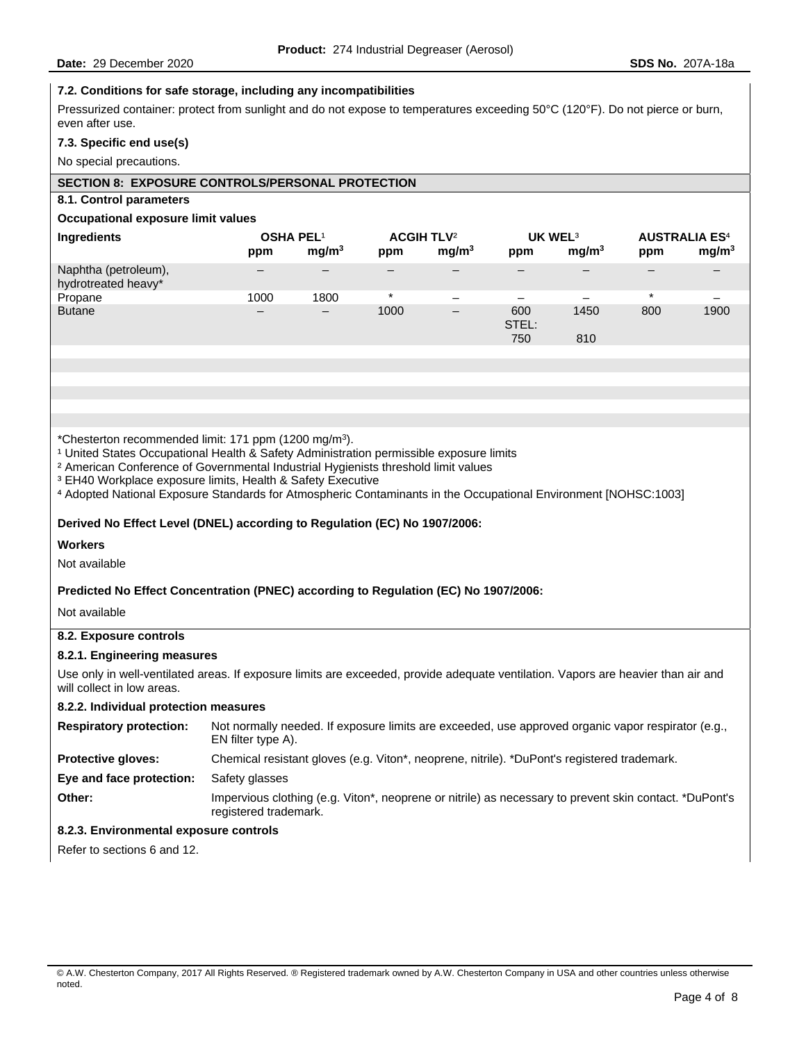# **7.2. Conditions for safe storage, including any incompatibilities**

Pressurized container: protect from sunlight and do not expose to temperatures exceeding 50°C (120°F). Do not pierce or burn, even after use.

#### **7.3. Specific end use(s)**

No special precautions.

# **SECTION 8: EXPOSURE CONTROLS/PERSONAL PROTECTION**

## **8.1. Control parameters**

#### **Occupational exposure limit values**

| Ingredients                                 | <b>OSHA PEL1</b><br>ppm  | mg/m <sup>3</sup>        | ACGIH TLV <sup>2</sup><br>ppm | mq/m <sup>3</sup>        | UK WEL <sup>3</sup><br>ppm | mq/m <sup>3</sup> | <b>AUSTRALIA ES4</b><br>ppm | mg/m <sup>3</sup> |
|---------------------------------------------|--------------------------|--------------------------|-------------------------------|--------------------------|----------------------------|-------------------|-----------------------------|-------------------|
| Naphtha (petroleum),<br>hydrotreated heavy* | $\qquad \qquad$          |                          | $\overline{\phantom{0}}$      |                          |                            |                   |                             |                   |
| Propane                                     | 1000                     | 1800                     | $^\star$                      | $\overline{\phantom{0}}$ |                            |                   | $\star$                     |                   |
| <b>Butane</b>                               | $\overline{\phantom{0}}$ | $\overline{\phantom{0}}$ | 1000                          | $\overline{\phantom{m}}$ | 600<br>STEL:<br>750        | 1450<br>810       | 800                         | 1900              |

\*Chesterton recommended limit: 171 ppm (1200 mg/m3).

<sup>1</sup> United States Occupational Health & Safety Administration permissible exposure limits

<sup>2</sup> American Conference of Governmental Industrial Hygienists threshold limit values

<sup>3</sup> EH40 Workplace exposure limits, Health & Safety Executive

⁴ Adopted National Exposure Standards for Atmospheric Contaminants in the Occupational Environment [NOHSC:1003]

## **Derived No Effect Level (DNEL) according to Regulation (EC) No 1907/2006:**

**Workers** 

Not available

## **Predicted No Effect Concentration (PNEC) according to Regulation (EC) No 1907/2006:**

Not available

# **8.2. Exposure controls**

## **8.2.1. Engineering measures**

Use only in well-ventilated areas. If exposure limits are exceeded, provide adequate ventilation. Vapors are heavier than air and will collect in low areas.

## **8.2.2. Individual protection measures**

| <b>Respiratory protection:</b> | Not normally needed. If exposure limits are exceeded, use approved organic vapor respirator (e.g.,<br>EN filter type A).        |
|--------------------------------|---------------------------------------------------------------------------------------------------------------------------------|
| <b>Protective gloves:</b>      | Chemical resistant gloves (e.g. Viton*, neoprene, nitrile). *DuPont's registered trademark.                                     |
| Eye and face protection:       | Safety glasses                                                                                                                  |
| Other:                         | Impervious clothing (e.g. Viton*, neoprene or nitrile) as necessary to prevent skin contact. *DuPont's<br>registered trademark. |

# **8.2.3. Environmental exposure controls**

Refer to sections 6 and 12.

<sup>©</sup> A.W. Chesterton Company, 2017 All Rights Reserved. ® Registered trademark owned by A.W. Chesterton Company in USA and other countries unless otherwise noted.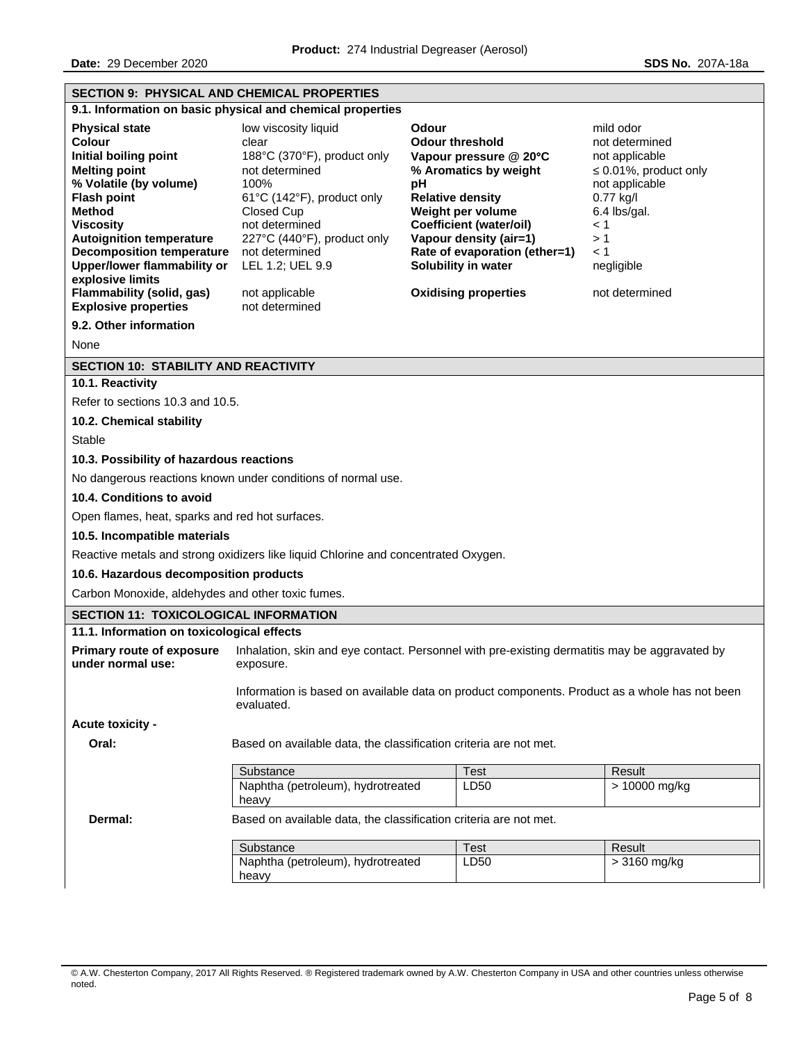| <b>SECTION 9: PHYSICAL AND CHEMICAL PROPERTIES</b>                                                                                                                                                                                                                                                                                                                                           |                                                                                                                                                                                                                                                                                                                                                                                                                                                                                                                                                                                                                                                                                                                                                                 |             |               |  |  |
|----------------------------------------------------------------------------------------------------------------------------------------------------------------------------------------------------------------------------------------------------------------------------------------------------------------------------------------------------------------------------------------------|-----------------------------------------------------------------------------------------------------------------------------------------------------------------------------------------------------------------------------------------------------------------------------------------------------------------------------------------------------------------------------------------------------------------------------------------------------------------------------------------------------------------------------------------------------------------------------------------------------------------------------------------------------------------------------------------------------------------------------------------------------------------|-------------|---------------|--|--|
|                                                                                                                                                                                                                                                                                                                                                                                              | 9.1. Information on basic physical and chemical properties                                                                                                                                                                                                                                                                                                                                                                                                                                                                                                                                                                                                                                                                                                      |             |               |  |  |
| <b>Physical state</b><br><b>Colour</b><br>Initial boiling point<br><b>Melting point</b><br>% Volatile (by volume)<br><b>Flash point</b><br>Method<br><b>Viscosity</b><br><b>Autoignition temperature</b><br><b>Decomposition temperature</b><br><b>Upper/lower flammability or</b><br>explosive limits<br>Flammability (solid, gas)<br><b>Explosive properties</b><br>9.2. Other information | low viscosity liquid<br>Odour<br>mild odor<br><b>Odour threshold</b><br>clear<br>not determined<br>188°C (370°F), product only<br>not applicable<br>Vapour pressure $@$ 20 $°C$<br>% Aromatics by weight<br>not determined<br>$\leq 0.01\%$ , product only<br>100%<br>pH<br>not applicable<br><b>Relative density</b><br>0.77 kg/l<br>61°C (142°F), product only<br>Weight per volume<br>Closed Cup<br>6.4 lbs/gal.<br><b>Coefficient (water/oil)</b><br>not determined<br>$\leq 1$<br>Vapour density (air=1)<br>>1<br>227°C (440°F), product only<br>Rate of evaporation (ether=1)<br>not determined<br>$\leq 1$<br>Solubility in water<br>LEL 1.2; UEL 9.9<br>negligible<br><b>Oxidising properties</b><br>not determined<br>not applicable<br>not determined |             |               |  |  |
| None                                                                                                                                                                                                                                                                                                                                                                                         |                                                                                                                                                                                                                                                                                                                                                                                                                                                                                                                                                                                                                                                                                                                                                                 |             |               |  |  |
| <b>SECTION 10: STABILITY AND REACTIVITY</b>                                                                                                                                                                                                                                                                                                                                                  |                                                                                                                                                                                                                                                                                                                                                                                                                                                                                                                                                                                                                                                                                                                                                                 |             |               |  |  |
| 10.1. Reactivity                                                                                                                                                                                                                                                                                                                                                                             |                                                                                                                                                                                                                                                                                                                                                                                                                                                                                                                                                                                                                                                                                                                                                                 |             |               |  |  |
| Refer to sections 10.3 and 10.5.                                                                                                                                                                                                                                                                                                                                                             |                                                                                                                                                                                                                                                                                                                                                                                                                                                                                                                                                                                                                                                                                                                                                                 |             |               |  |  |
| 10.2. Chemical stability                                                                                                                                                                                                                                                                                                                                                                     |                                                                                                                                                                                                                                                                                                                                                                                                                                                                                                                                                                                                                                                                                                                                                                 |             |               |  |  |
| <b>Stable</b>                                                                                                                                                                                                                                                                                                                                                                                |                                                                                                                                                                                                                                                                                                                                                                                                                                                                                                                                                                                                                                                                                                                                                                 |             |               |  |  |
| 10.3. Possibility of hazardous reactions                                                                                                                                                                                                                                                                                                                                                     |                                                                                                                                                                                                                                                                                                                                                                                                                                                                                                                                                                                                                                                                                                                                                                 |             |               |  |  |
|                                                                                                                                                                                                                                                                                                                                                                                              | No dangerous reactions known under conditions of normal use.                                                                                                                                                                                                                                                                                                                                                                                                                                                                                                                                                                                                                                                                                                    |             |               |  |  |
| 10.4. Conditions to avoid                                                                                                                                                                                                                                                                                                                                                                    |                                                                                                                                                                                                                                                                                                                                                                                                                                                                                                                                                                                                                                                                                                                                                                 |             |               |  |  |
| Open flames, heat, sparks and red hot surfaces.                                                                                                                                                                                                                                                                                                                                              |                                                                                                                                                                                                                                                                                                                                                                                                                                                                                                                                                                                                                                                                                                                                                                 |             |               |  |  |
| 10.5. Incompatible materials                                                                                                                                                                                                                                                                                                                                                                 |                                                                                                                                                                                                                                                                                                                                                                                                                                                                                                                                                                                                                                                                                                                                                                 |             |               |  |  |
|                                                                                                                                                                                                                                                                                                                                                                                              | Reactive metals and strong oxidizers like liquid Chlorine and concentrated Oxygen.                                                                                                                                                                                                                                                                                                                                                                                                                                                                                                                                                                                                                                                                              |             |               |  |  |
| 10.6. Hazardous decomposition products                                                                                                                                                                                                                                                                                                                                                       |                                                                                                                                                                                                                                                                                                                                                                                                                                                                                                                                                                                                                                                                                                                                                                 |             |               |  |  |
| Carbon Monoxide, aldehydes and other toxic fumes.                                                                                                                                                                                                                                                                                                                                            |                                                                                                                                                                                                                                                                                                                                                                                                                                                                                                                                                                                                                                                                                                                                                                 |             |               |  |  |
| <b>SECTION 11: TOXICOLOGICAL INFORMATION</b>                                                                                                                                                                                                                                                                                                                                                 |                                                                                                                                                                                                                                                                                                                                                                                                                                                                                                                                                                                                                                                                                                                                                                 |             |               |  |  |
| 11.1. Information on toxicological effects                                                                                                                                                                                                                                                                                                                                                   |                                                                                                                                                                                                                                                                                                                                                                                                                                                                                                                                                                                                                                                                                                                                                                 |             |               |  |  |
| <b>Primary route of exposure</b><br>under normal use:                                                                                                                                                                                                                                                                                                                                        | Inhalation, skin and eye contact. Personnel with pre-existing dermatitis may be aggravated by<br>exposure.                                                                                                                                                                                                                                                                                                                                                                                                                                                                                                                                                                                                                                                      |             |               |  |  |
|                                                                                                                                                                                                                                                                                                                                                                                              | Information is based on available data on product components. Product as a whole has not been<br>evaluated.                                                                                                                                                                                                                                                                                                                                                                                                                                                                                                                                                                                                                                                     |             |               |  |  |
| Acute toxicity -                                                                                                                                                                                                                                                                                                                                                                             |                                                                                                                                                                                                                                                                                                                                                                                                                                                                                                                                                                                                                                                                                                                                                                 |             |               |  |  |
| Oral:                                                                                                                                                                                                                                                                                                                                                                                        | Based on available data, the classification criteria are not met.                                                                                                                                                                                                                                                                                                                                                                                                                                                                                                                                                                                                                                                                                               |             |               |  |  |
|                                                                                                                                                                                                                                                                                                                                                                                              | Substance                                                                                                                                                                                                                                                                                                                                                                                                                                                                                                                                                                                                                                                                                                                                                       | <b>Test</b> | Result        |  |  |
|                                                                                                                                                                                                                                                                                                                                                                                              | Naphtha (petroleum), hydrotreated<br>heavy                                                                                                                                                                                                                                                                                                                                                                                                                                                                                                                                                                                                                                                                                                                      | LD50        | > 10000 mg/kg |  |  |
| Dermal:                                                                                                                                                                                                                                                                                                                                                                                      | Based on available data, the classification criteria are not met.                                                                                                                                                                                                                                                                                                                                                                                                                                                                                                                                                                                                                                                                                               |             |               |  |  |
|                                                                                                                                                                                                                                                                                                                                                                                              | Substance                                                                                                                                                                                                                                                                                                                                                                                                                                                                                                                                                                                                                                                                                                                                                       | <b>Test</b> | Result        |  |  |
|                                                                                                                                                                                                                                                                                                                                                                                              | Naphtha (petroleum), hydrotreated                                                                                                                                                                                                                                                                                                                                                                                                                                                                                                                                                                                                                                                                                                                               | LD50        | > 3160 mg/kg  |  |  |
|                                                                                                                                                                                                                                                                                                                                                                                              | heavy                                                                                                                                                                                                                                                                                                                                                                                                                                                                                                                                                                                                                                                                                                                                                           |             |               |  |  |

© A.W. Chesterton Company, 2017 All Rights Reserved. ® Registered trademark owned by A.W. Chesterton Company in USA and other countries unless otherwise noted.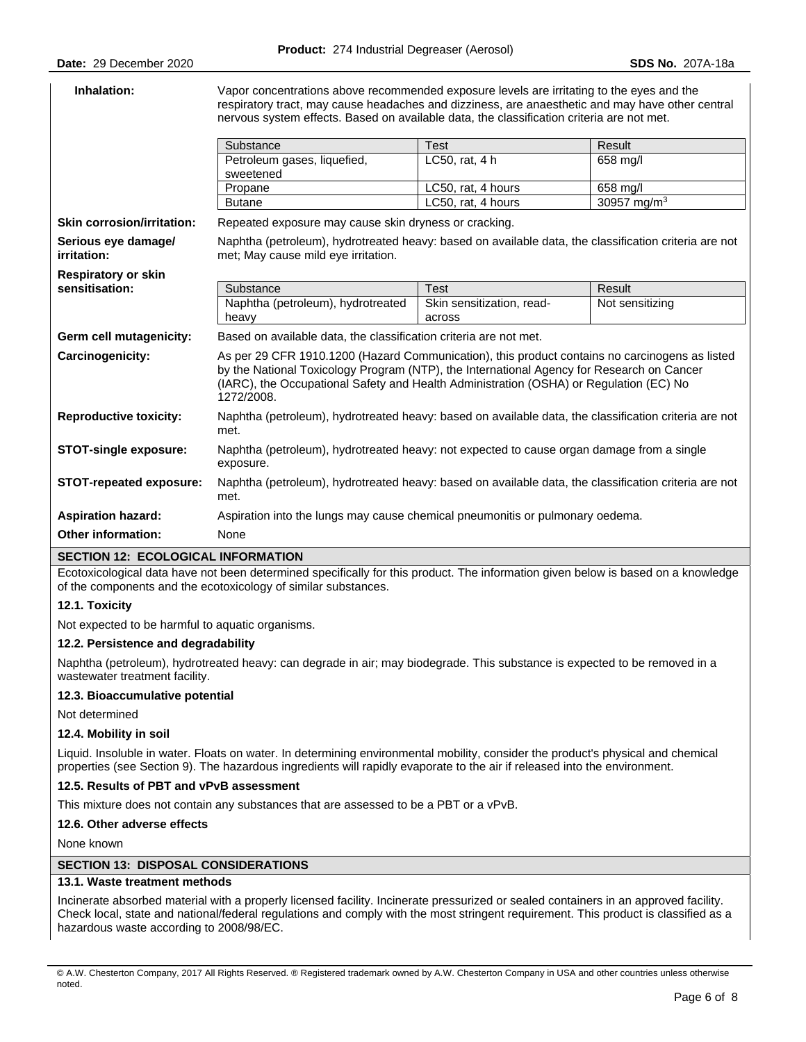| Inhalation:                        | Vapor concentrations above recommended exposure levels are irritating to the eyes and the<br>respiratory tract, may cause headaches and dizziness, are anaesthetic and may have other central<br>nervous system effects. Based on available data, the classification criteria are not met.          |                                     |                         |  |  |  |
|------------------------------------|-----------------------------------------------------------------------------------------------------------------------------------------------------------------------------------------------------------------------------------------------------------------------------------------------------|-------------------------------------|-------------------------|--|--|--|
|                                    | Substance<br><b>Test</b><br>Result                                                                                                                                                                                                                                                                  |                                     |                         |  |  |  |
|                                    | Petroleum gases, liquefied,<br>sweetened                                                                                                                                                                                                                                                            | LC50, rat, 4 h                      | 658 mg/l                |  |  |  |
|                                    | Propane                                                                                                                                                                                                                                                                                             | LC50, rat, 4 hours                  | 658 mg/l                |  |  |  |
|                                    | <b>Butane</b>                                                                                                                                                                                                                                                                                       | LC50, rat, 4 hours                  | 30957 mg/m <sup>3</sup> |  |  |  |
| <b>Skin corrosion/irritation:</b>  | Repeated exposure may cause skin dryness or cracking.                                                                                                                                                                                                                                               |                                     |                         |  |  |  |
| Serious eye damage/<br>irritation: | Naphtha (petroleum), hydrotreated heavy: based on available data, the classification criteria are not<br>met; May cause mild eye irritation.                                                                                                                                                        |                                     |                         |  |  |  |
| <b>Respiratory or skin</b>         |                                                                                                                                                                                                                                                                                                     |                                     |                         |  |  |  |
| sensitisation:                     | Substance                                                                                                                                                                                                                                                                                           | <b>Test</b>                         | Result                  |  |  |  |
|                                    | Naphtha (petroleum), hydrotreated<br>heavy                                                                                                                                                                                                                                                          | Skin sensitization, read-<br>across | Not sensitizing         |  |  |  |
| Germ cell mutagenicity:            | Based on available data, the classification criteria are not met.                                                                                                                                                                                                                                   |                                     |                         |  |  |  |
| Carcinogenicity:                   | As per 29 CFR 1910.1200 (Hazard Communication), this product contains no carcinogens as listed<br>by the National Toxicology Program (NTP), the International Agency for Research on Cancer<br>(IARC), the Occupational Safety and Health Administration (OSHA) or Regulation (EC) No<br>1272/2008. |                                     |                         |  |  |  |
| <b>Reproductive toxicity:</b>      | Naphtha (petroleum), hydrotreated heavy: based on available data, the classification criteria are not<br>met.                                                                                                                                                                                       |                                     |                         |  |  |  |
| <b>STOT-single exposure:</b>       | Naphtha (petroleum), hydrotreated heavy: not expected to cause organ damage from a single<br>exposure.                                                                                                                                                                                              |                                     |                         |  |  |  |
| <b>STOT-repeated exposure:</b>     | Naphtha (petroleum), hydrotreated heavy: based on available data, the classification criteria are not<br>met.                                                                                                                                                                                       |                                     |                         |  |  |  |
| <b>Aspiration hazard:</b>          | Aspiration into the lungs may cause chemical pneumonitis or pulmonary oedema.                                                                                                                                                                                                                       |                                     |                         |  |  |  |
| <b>Other information:</b>          | None                                                                                                                                                                                                                                                                                                |                                     |                         |  |  |  |

#### **SECTION 12: ECOLOGICAL INFORMATION**

Ecotoxicological data have not been determined specifically for this product. The information given below is based on a knowledge of the components and the ecotoxicology of similar substances.

#### **12.1. Toxicity**

Not expected to be harmful to aquatic organisms.

## **12.2. Persistence and degradability**

Naphtha (petroleum), hydrotreated heavy: can degrade in air; may biodegrade. This substance is expected to be removed in a wastewater treatment facility.

#### **12.3. Bioaccumulative potential**

Not determined

# **12.4. Mobility in soil**

Liquid. Insoluble in water. Floats on water. In determining environmental mobility, consider the product's physical and chemical properties (see Section 9). The hazardous ingredients will rapidly evaporate to the air if released into the environment.

#### **12.5. Results of PBT and vPvB assessment**

This mixture does not contain any substances that are assessed to be a PBT or a vPvB.

#### **12.6. Other adverse effects**

None known

#### **SECTION 13: DISPOSAL CONSIDERATIONS**

#### **13.1. Waste treatment methods**

Incinerate absorbed material with a properly licensed facility. Incinerate pressurized or sealed containers in an approved facility. Check local, state and national/federal regulations and comply with the most stringent requirement. This product is classified as a hazardous waste according to 2008/98/EC.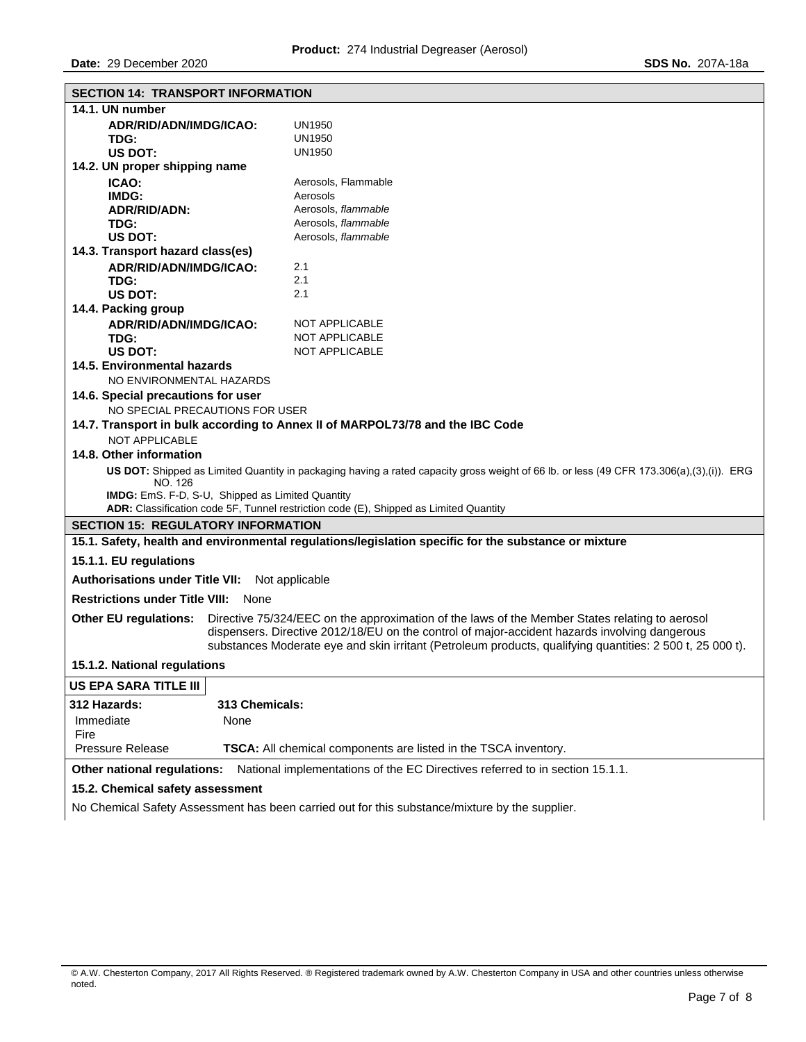| 14.1. UN number<br><b>UN1950</b><br>ADR/RID/ADN/IMDG/ICAO:<br><b>UN1950</b><br>TDG:<br>US DOT:<br>UN1950<br>14.2. UN proper shipping name<br>Aerosols, Flammable<br>ICAO:<br>Aerosols<br>IMDG:<br>Aerosols, flammable<br>ADR/RID/ADN:<br>Aerosols, flammable<br>TDG:<br>Aerosols, flammable<br>US DOT:<br>14.3. Transport hazard class(es)<br>ADR/RID/ADN/IMDG/ICAO:<br>2.1<br>2.1<br>TDG:<br>2.1<br><b>US DOT:</b><br>14.4. Packing group<br>ADR/RID/ADN/IMDG/ICAO:<br>NOT APPLICABLE<br>TDG:<br>NOT APPLICABLE<br>US DOT:<br><b>NOT APPLICABLE</b><br>14.5. Environmental hazards<br>NO ENVIRONMENTAL HAZARDS<br>14.6. Special precautions for user<br>NO SPECIAL PRECAUTIONS FOR USER<br>14.7. Transport in bulk according to Annex II of MARPOL73/78 and the IBC Code<br><b>NOT APPLICABLE</b><br>14.8. Other information<br>US DOT: Shipped as Limited Quantity in packaging having a rated capacity gross weight of 66 lb. or less (49 CFR 173.306(a),(3),(i)). ERG<br>NO. 126<br><b>IMDG:</b> EmS. F-D, S-U, Shipped as Limited Quantity<br>ADR: Classification code 5F, Tunnel restriction code (E), Shipped as Limited Quantity<br><b>SECTION 15: REGULATORY INFORMATION</b><br>15.1. Safety, health and environmental regulations/legislation specific for the substance or mixture<br>15.1.1. EU regulations<br><b>Authorisations under Title VII:</b><br>Not applicable |  |  |  |  |
|-------------------------------------------------------------------------------------------------------------------------------------------------------------------------------------------------------------------------------------------------------------------------------------------------------------------------------------------------------------------------------------------------------------------------------------------------------------------------------------------------------------------------------------------------------------------------------------------------------------------------------------------------------------------------------------------------------------------------------------------------------------------------------------------------------------------------------------------------------------------------------------------------------------------------------------------------------------------------------------------------------------------------------------------------------------------------------------------------------------------------------------------------------------------------------------------------------------------------------------------------------------------------------------------------------------------------------------------------------------------------------------|--|--|--|--|
|                                                                                                                                                                                                                                                                                                                                                                                                                                                                                                                                                                                                                                                                                                                                                                                                                                                                                                                                                                                                                                                                                                                                                                                                                                                                                                                                                                                     |  |  |  |  |
|                                                                                                                                                                                                                                                                                                                                                                                                                                                                                                                                                                                                                                                                                                                                                                                                                                                                                                                                                                                                                                                                                                                                                                                                                                                                                                                                                                                     |  |  |  |  |
|                                                                                                                                                                                                                                                                                                                                                                                                                                                                                                                                                                                                                                                                                                                                                                                                                                                                                                                                                                                                                                                                                                                                                                                                                                                                                                                                                                                     |  |  |  |  |
|                                                                                                                                                                                                                                                                                                                                                                                                                                                                                                                                                                                                                                                                                                                                                                                                                                                                                                                                                                                                                                                                                                                                                                                                                                                                                                                                                                                     |  |  |  |  |
|                                                                                                                                                                                                                                                                                                                                                                                                                                                                                                                                                                                                                                                                                                                                                                                                                                                                                                                                                                                                                                                                                                                                                                                                                                                                                                                                                                                     |  |  |  |  |
|                                                                                                                                                                                                                                                                                                                                                                                                                                                                                                                                                                                                                                                                                                                                                                                                                                                                                                                                                                                                                                                                                                                                                                                                                                                                                                                                                                                     |  |  |  |  |
|                                                                                                                                                                                                                                                                                                                                                                                                                                                                                                                                                                                                                                                                                                                                                                                                                                                                                                                                                                                                                                                                                                                                                                                                                                                                                                                                                                                     |  |  |  |  |
|                                                                                                                                                                                                                                                                                                                                                                                                                                                                                                                                                                                                                                                                                                                                                                                                                                                                                                                                                                                                                                                                                                                                                                                                                                                                                                                                                                                     |  |  |  |  |
|                                                                                                                                                                                                                                                                                                                                                                                                                                                                                                                                                                                                                                                                                                                                                                                                                                                                                                                                                                                                                                                                                                                                                                                                                                                                                                                                                                                     |  |  |  |  |
|                                                                                                                                                                                                                                                                                                                                                                                                                                                                                                                                                                                                                                                                                                                                                                                                                                                                                                                                                                                                                                                                                                                                                                                                                                                                                                                                                                                     |  |  |  |  |
|                                                                                                                                                                                                                                                                                                                                                                                                                                                                                                                                                                                                                                                                                                                                                                                                                                                                                                                                                                                                                                                                                                                                                                                                                                                                                                                                                                                     |  |  |  |  |
|                                                                                                                                                                                                                                                                                                                                                                                                                                                                                                                                                                                                                                                                                                                                                                                                                                                                                                                                                                                                                                                                                                                                                                                                                                                                                                                                                                                     |  |  |  |  |
|                                                                                                                                                                                                                                                                                                                                                                                                                                                                                                                                                                                                                                                                                                                                                                                                                                                                                                                                                                                                                                                                                                                                                                                                                                                                                                                                                                                     |  |  |  |  |
|                                                                                                                                                                                                                                                                                                                                                                                                                                                                                                                                                                                                                                                                                                                                                                                                                                                                                                                                                                                                                                                                                                                                                                                                                                                                                                                                                                                     |  |  |  |  |
|                                                                                                                                                                                                                                                                                                                                                                                                                                                                                                                                                                                                                                                                                                                                                                                                                                                                                                                                                                                                                                                                                                                                                                                                                                                                                                                                                                                     |  |  |  |  |
|                                                                                                                                                                                                                                                                                                                                                                                                                                                                                                                                                                                                                                                                                                                                                                                                                                                                                                                                                                                                                                                                                                                                                                                                                                                                                                                                                                                     |  |  |  |  |
|                                                                                                                                                                                                                                                                                                                                                                                                                                                                                                                                                                                                                                                                                                                                                                                                                                                                                                                                                                                                                                                                                                                                                                                                                                                                                                                                                                                     |  |  |  |  |
|                                                                                                                                                                                                                                                                                                                                                                                                                                                                                                                                                                                                                                                                                                                                                                                                                                                                                                                                                                                                                                                                                                                                                                                                                                                                                                                                                                                     |  |  |  |  |
|                                                                                                                                                                                                                                                                                                                                                                                                                                                                                                                                                                                                                                                                                                                                                                                                                                                                                                                                                                                                                                                                                                                                                                                                                                                                                                                                                                                     |  |  |  |  |
|                                                                                                                                                                                                                                                                                                                                                                                                                                                                                                                                                                                                                                                                                                                                                                                                                                                                                                                                                                                                                                                                                                                                                                                                                                                                                                                                                                                     |  |  |  |  |
|                                                                                                                                                                                                                                                                                                                                                                                                                                                                                                                                                                                                                                                                                                                                                                                                                                                                                                                                                                                                                                                                                                                                                                                                                                                                                                                                                                                     |  |  |  |  |
|                                                                                                                                                                                                                                                                                                                                                                                                                                                                                                                                                                                                                                                                                                                                                                                                                                                                                                                                                                                                                                                                                                                                                                                                                                                                                                                                                                                     |  |  |  |  |
|                                                                                                                                                                                                                                                                                                                                                                                                                                                                                                                                                                                                                                                                                                                                                                                                                                                                                                                                                                                                                                                                                                                                                                                                                                                                                                                                                                                     |  |  |  |  |
|                                                                                                                                                                                                                                                                                                                                                                                                                                                                                                                                                                                                                                                                                                                                                                                                                                                                                                                                                                                                                                                                                                                                                                                                                                                                                                                                                                                     |  |  |  |  |
|                                                                                                                                                                                                                                                                                                                                                                                                                                                                                                                                                                                                                                                                                                                                                                                                                                                                                                                                                                                                                                                                                                                                                                                                                                                                                                                                                                                     |  |  |  |  |
|                                                                                                                                                                                                                                                                                                                                                                                                                                                                                                                                                                                                                                                                                                                                                                                                                                                                                                                                                                                                                                                                                                                                                                                                                                                                                                                                                                                     |  |  |  |  |
|                                                                                                                                                                                                                                                                                                                                                                                                                                                                                                                                                                                                                                                                                                                                                                                                                                                                                                                                                                                                                                                                                                                                                                                                                                                                                                                                                                                     |  |  |  |  |
|                                                                                                                                                                                                                                                                                                                                                                                                                                                                                                                                                                                                                                                                                                                                                                                                                                                                                                                                                                                                                                                                                                                                                                                                                                                                                                                                                                                     |  |  |  |  |
|                                                                                                                                                                                                                                                                                                                                                                                                                                                                                                                                                                                                                                                                                                                                                                                                                                                                                                                                                                                                                                                                                                                                                                                                                                                                                                                                                                                     |  |  |  |  |
|                                                                                                                                                                                                                                                                                                                                                                                                                                                                                                                                                                                                                                                                                                                                                                                                                                                                                                                                                                                                                                                                                                                                                                                                                                                                                                                                                                                     |  |  |  |  |
|                                                                                                                                                                                                                                                                                                                                                                                                                                                                                                                                                                                                                                                                                                                                                                                                                                                                                                                                                                                                                                                                                                                                                                                                                                                                                                                                                                                     |  |  |  |  |
|                                                                                                                                                                                                                                                                                                                                                                                                                                                                                                                                                                                                                                                                                                                                                                                                                                                                                                                                                                                                                                                                                                                                                                                                                                                                                                                                                                                     |  |  |  |  |
|                                                                                                                                                                                                                                                                                                                                                                                                                                                                                                                                                                                                                                                                                                                                                                                                                                                                                                                                                                                                                                                                                                                                                                                                                                                                                                                                                                                     |  |  |  |  |
| <b>Restrictions under Title VIII:</b><br>None                                                                                                                                                                                                                                                                                                                                                                                                                                                                                                                                                                                                                                                                                                                                                                                                                                                                                                                                                                                                                                                                                                                                                                                                                                                                                                                                       |  |  |  |  |
| Directive 75/324/EEC on the approximation of the laws of the Member States relating to aerosol<br><b>Other EU regulations:</b>                                                                                                                                                                                                                                                                                                                                                                                                                                                                                                                                                                                                                                                                                                                                                                                                                                                                                                                                                                                                                                                                                                                                                                                                                                                      |  |  |  |  |
| dispensers. Directive 2012/18/EU on the control of major-accident hazards involving dangerous                                                                                                                                                                                                                                                                                                                                                                                                                                                                                                                                                                                                                                                                                                                                                                                                                                                                                                                                                                                                                                                                                                                                                                                                                                                                                       |  |  |  |  |
| substances Moderate eye and skin irritant (Petroleum products, qualifying quantities: 2 500 t, 25 000 t).                                                                                                                                                                                                                                                                                                                                                                                                                                                                                                                                                                                                                                                                                                                                                                                                                                                                                                                                                                                                                                                                                                                                                                                                                                                                           |  |  |  |  |
| 15.1.2. National regulations                                                                                                                                                                                                                                                                                                                                                                                                                                                                                                                                                                                                                                                                                                                                                                                                                                                                                                                                                                                                                                                                                                                                                                                                                                                                                                                                                        |  |  |  |  |
| <b>US EPA SARA TITLE III</b>                                                                                                                                                                                                                                                                                                                                                                                                                                                                                                                                                                                                                                                                                                                                                                                                                                                                                                                                                                                                                                                                                                                                                                                                                                                                                                                                                        |  |  |  |  |
| 313 Chemicals:<br>312 Hazards:                                                                                                                                                                                                                                                                                                                                                                                                                                                                                                                                                                                                                                                                                                                                                                                                                                                                                                                                                                                                                                                                                                                                                                                                                                                                                                                                                      |  |  |  |  |
| Immediate<br>None<br>Fire                                                                                                                                                                                                                                                                                                                                                                                                                                                                                                                                                                                                                                                                                                                                                                                                                                                                                                                                                                                                                                                                                                                                                                                                                                                                                                                                                           |  |  |  |  |
| <b>Pressure Release</b><br><b>TSCA:</b> All chemical components are listed in the TSCA inventory.                                                                                                                                                                                                                                                                                                                                                                                                                                                                                                                                                                                                                                                                                                                                                                                                                                                                                                                                                                                                                                                                                                                                                                                                                                                                                   |  |  |  |  |
| Other national regulations:<br>National implementations of the EC Directives referred to in section 15.1.1.                                                                                                                                                                                                                                                                                                                                                                                                                                                                                                                                                                                                                                                                                                                                                                                                                                                                                                                                                                                                                                                                                                                                                                                                                                                                         |  |  |  |  |
| 15.2. Chemical safety assessment                                                                                                                                                                                                                                                                                                                                                                                                                                                                                                                                                                                                                                                                                                                                                                                                                                                                                                                                                                                                                                                                                                                                                                                                                                                                                                                                                    |  |  |  |  |

No Chemical Safety Assessment has been carried out for this substance/mixture by the supplier.

<sup>©</sup> A.W. Chesterton Company, 2017 All Rights Reserved. ® Registered trademark owned by A.W. Chesterton Company in USA and other countries unless otherwise noted.